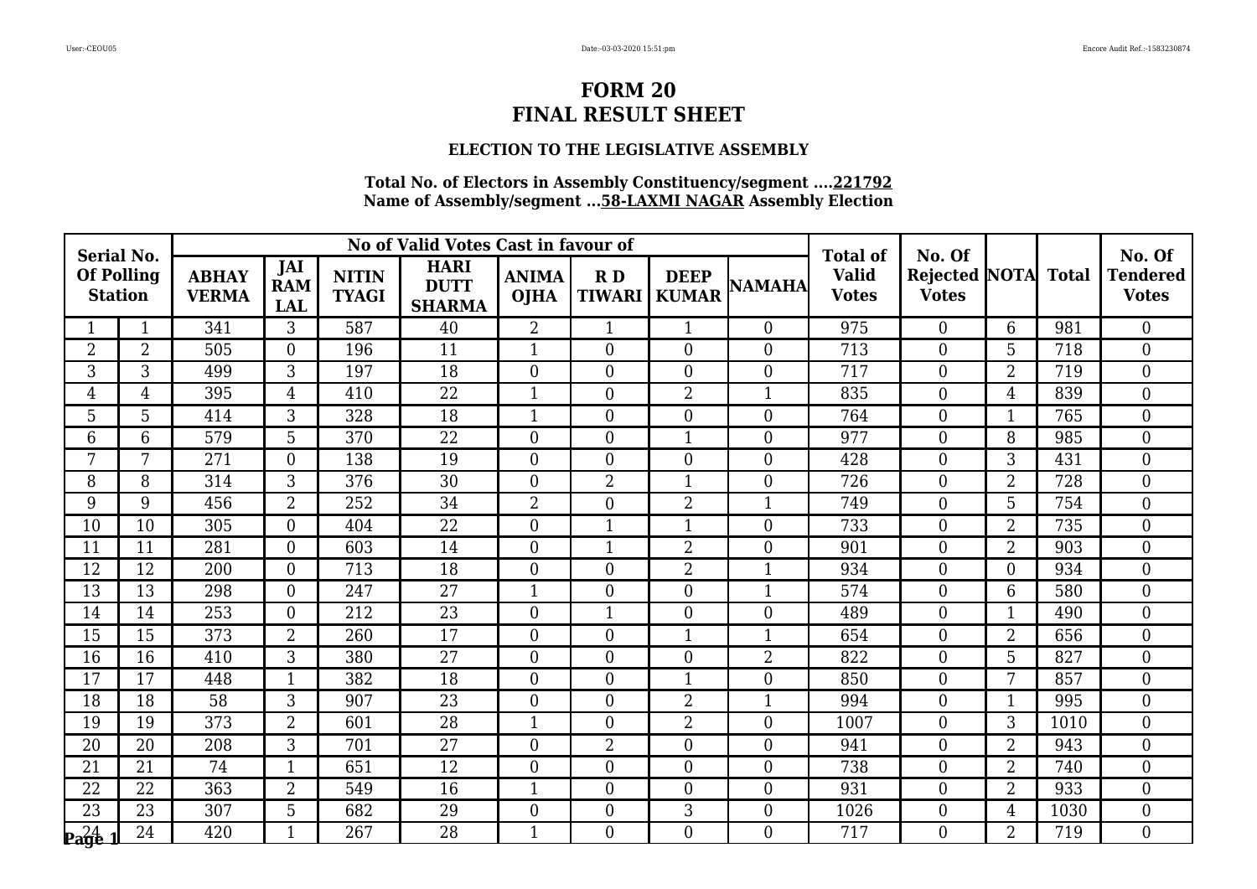## **ELECTION TO THE LEGISLATIVE ASSEMBLY**

| <b>Serial No.</b>                                             |                |                              |                                        |                              | No of Valid Votes Cast in favour of         |                             |                     |                             |                  | <b>Total of</b>              | No. Of                               |                |              | No. Of                          |
|---------------------------------------------------------------|----------------|------------------------------|----------------------------------------|------------------------------|---------------------------------------------|-----------------------------|---------------------|-----------------------------|------------------|------------------------------|--------------------------------------|----------------|--------------|---------------------------------|
| <b>Of Polling</b><br><b>Station</b>                           |                | <b>ABHAY</b><br><b>VERMA</b> | <b>JAI</b><br><b>RAM</b><br><b>LAL</b> | <b>NITIN</b><br><b>TYAGI</b> | <b>HARI</b><br><b>DUTT</b><br><b>SHARMA</b> | <b>ANIMA</b><br><b>OJHA</b> | RD<br><b>TIWARI</b> | <b>DEEP</b><br><b>KUMAR</b> | <b>NAMAHA</b>    | <b>Valid</b><br><b>Votes</b> | <b>Rejected NOTA</b><br><b>Votes</b> |                | <b>Total</b> | <b>Tendered</b><br><b>Votes</b> |
|                                                               | $\mathbf{1}$   | 341                          | 3                                      | 587                          | 40                                          | $\overline{2}$              | $\mathbf{1}$        | $\mathbf{1}$                | $\theta$         | 975                          | $\overline{0}$                       | 6              | 981          | $\theta$                        |
| $\overline{2}$                                                | $\overline{2}$ | 505                          | $\Omega$                               | 196                          | 11                                          | $\mathbf{1}$                | $\overline{0}$      | $\overline{0}$              | $\overline{0}$   | 713                          | $\overline{0}$                       | 5              | 718          | $\boldsymbol{0}$                |
| 3                                                             | 3              | 499                          | 3                                      | 197                          | 18                                          | $\overline{0}$              | $\overline{0}$      | $\overline{0}$              | $\boldsymbol{0}$ | 717                          | $\boldsymbol{0}$                     | $\overline{2}$ | 719          | $\boldsymbol{0}$                |
| 4                                                             | 4              | 395                          | $\overline{4}$                         | 410                          | $\overline{22}$                             | $\mathbf{1}$                | $\overline{0}$      | $\overline{2}$              | $\mathbf{1}$     | 835                          | $\overline{0}$                       | $\overline{4}$ | 839          | $\mathbf{0}$                    |
| 5                                                             | 5              | 414                          | $\overline{3}$                         | 328                          | 18                                          | $\mathbf{1}$                | 0                   | $\boldsymbol{0}$            | $\boldsymbol{0}$ | 764                          | $\boldsymbol{0}$                     | $\mathbf{1}$   | 765          | $\boldsymbol{0}$                |
| 6                                                             | 6              | 579                          | 5                                      | 370                          | 22                                          | $\overline{0}$              | $\overline{0}$      | $\mathbf{1}$                | $\overline{0}$   | 977                          | $\overline{0}$                       | 8              | 985          | $\mathbf{0}$                    |
| 7                                                             | 7              | 271                          | $\Omega$                               | 138                          | 19                                          | $\overline{0}$              | $\overline{0}$      | $\theta$                    | $\overline{0}$   | 428                          | $\overline{0}$                       | 3              | 431          | $\overline{0}$                  |
| 8                                                             | 8              | 314                          | 3                                      | 376                          | $\overline{30}$                             | $\overline{0}$              | $\overline{2}$      | $\mathbf{1}$                | $\boldsymbol{0}$ | 726                          | $\boldsymbol{0}$                     | $\overline{2}$ | 728          | $\boldsymbol{0}$                |
| 9                                                             | 9              | 456                          | $\overline{2}$                         | 252                          | $\overline{34}$                             | $\overline{2}$              | $\overline{0}$      | $\overline{2}$              | $\mathbf{1}$     | 749                          | $\overline{0}$                       | 5              | 754          | $\mathbf{0}$                    |
| 10                                                            | 10             | 305                          | $\Omega$                               | 404                          | 22                                          | $\overline{0}$              | $\mathbf{1}$        | $\mathbf{1}$                | $\overline{0}$   | 733                          | $\overline{0}$                       | $\overline{2}$ | 735          | $\overline{0}$                  |
| 11                                                            | 11             | 281                          | $\Omega$                               | 603                          | 14                                          | $\overline{0}$              | 1                   | $\overline{2}$              | $\boldsymbol{0}$ | 901                          | $\overline{0}$                       | $\overline{2}$ | 903          | $\boldsymbol{0}$                |
| 12                                                            | 12             | 200                          | $\overline{0}$                         | 713                          | 18                                          | $\overline{0}$              | $\overline{0}$      | $\overline{2}$              | $\mathbf{1}$     | 934                          | $\overline{0}$                       | $\overline{0}$ | 934          | $\overline{0}$                  |
| 13                                                            | 13             | 298                          | $\Omega$                               | 247                          | 27                                          | $\mathbf{1}$                | $\overline{0}$      | $\overline{0}$              | $\mathbf{1}$     | 574                          | $\overline{0}$                       | 6              | 580          | $\overline{0}$                  |
| 14                                                            | 14             | 253                          | $\Omega$                               | 212                          | 23                                          | $\overline{0}$              | $\mathbf{1}$        | $\overline{0}$              | $\boldsymbol{0}$ | 489                          | $\boldsymbol{0}$                     | 1              | 490          | $\mathbf{0}$                    |
| 15                                                            | 15             | 373                          | $\overline{2}$                         | 260                          | 17                                          | $\overline{0}$              | $\overline{0}$      | $\overline{1}$              | $\overline{1}$   | 654                          | $\overline{0}$                       | $\overline{2}$ | 656          | $\overline{0}$                  |
| 16                                                            | 16             | 410                          | 3                                      | 380                          | 27                                          | $\overline{0}$              | $\overline{0}$      | $\boldsymbol{0}$            | $\overline{2}$   | 822                          | $\boldsymbol{0}$                     | 5              | 827          | $\mathbf{0}$                    |
| 17                                                            | 17             | 448                          | $\mathbf{1}$                           | 382                          | 18                                          | $\overline{0}$              | $\overline{0}$      | $\mathbf{1}$                | $\boldsymbol{0}$ | 850                          | $\boldsymbol{0}$                     | 7              | 857          | $\boldsymbol{0}$                |
| $\overline{18}$                                               | 18             | $\overline{58}$              | 3                                      | 907                          | $\overline{23}$                             | $\overline{0}$              | $\overline{0}$      | $\overline{2}$              | $\mathbf{1}$     | 994                          | $\overline{0}$                       | $\mathbf{1}$   | 995          | $\overline{0}$                  |
| 19                                                            | 19             | 373                          | $\overline{2}$                         | 601                          | 28                                          | $\mathbf{1}$                | $\overline{0}$      | $\overline{2}$              | $\overline{0}$   | 1007                         | $\overline{0}$                       | 3              | 1010         | $\boldsymbol{0}$                |
| 20                                                            | 20             | 208                          | 3                                      | 701                          | 27                                          | $\overline{0}$              | 2                   | $\boldsymbol{0}$            | $\boldsymbol{0}$ | 941                          | $\boldsymbol{0}$                     | $\overline{2}$ | 943          | $\boldsymbol{0}$                |
| 21                                                            | 21             | 74                           | 1                                      | 651                          | 12                                          | $\overline{0}$              | $\overline{0}$      | $\overline{0}$              | $\overline{0}$   | 738                          | $\overline{0}$                       | $\overline{2}$ | 740          | $\overline{0}$                  |
| 22                                                            | 22             | 363                          | $\overline{2}$                         | 549                          | 16                                          | $\mathbf{1}$                | $\overline{0}$      | $\boldsymbol{0}$            | $\boldsymbol{0}$ | 931                          | $\boldsymbol{0}$                     | $\overline{2}$ | 933          | $\boldsymbol{0}$                |
| 23                                                            | 23             | $\overline{307}$             | 5                                      | 682                          | 29                                          | $\overline{0}$              | $\overline{0}$      | $\overline{3}$              | $\boldsymbol{0}$ | 1026                         | $\boldsymbol{0}$                     | 4              | 1030         | $\mathbf{0}$                    |
| $\mathbf{p}_{\mathbf{a}\mathbf{g}\mathbf{e}\mathbf{-1}}^{24}$ | 24             | 420                          | $\mathbf{1}$                           | 267                          | 28                                          | 1                           | $\overline{0}$      | $\overline{0}$              | $\theta$         | 717                          | $\Omega$                             | $\overline{2}$ | 719          | $\theta$                        |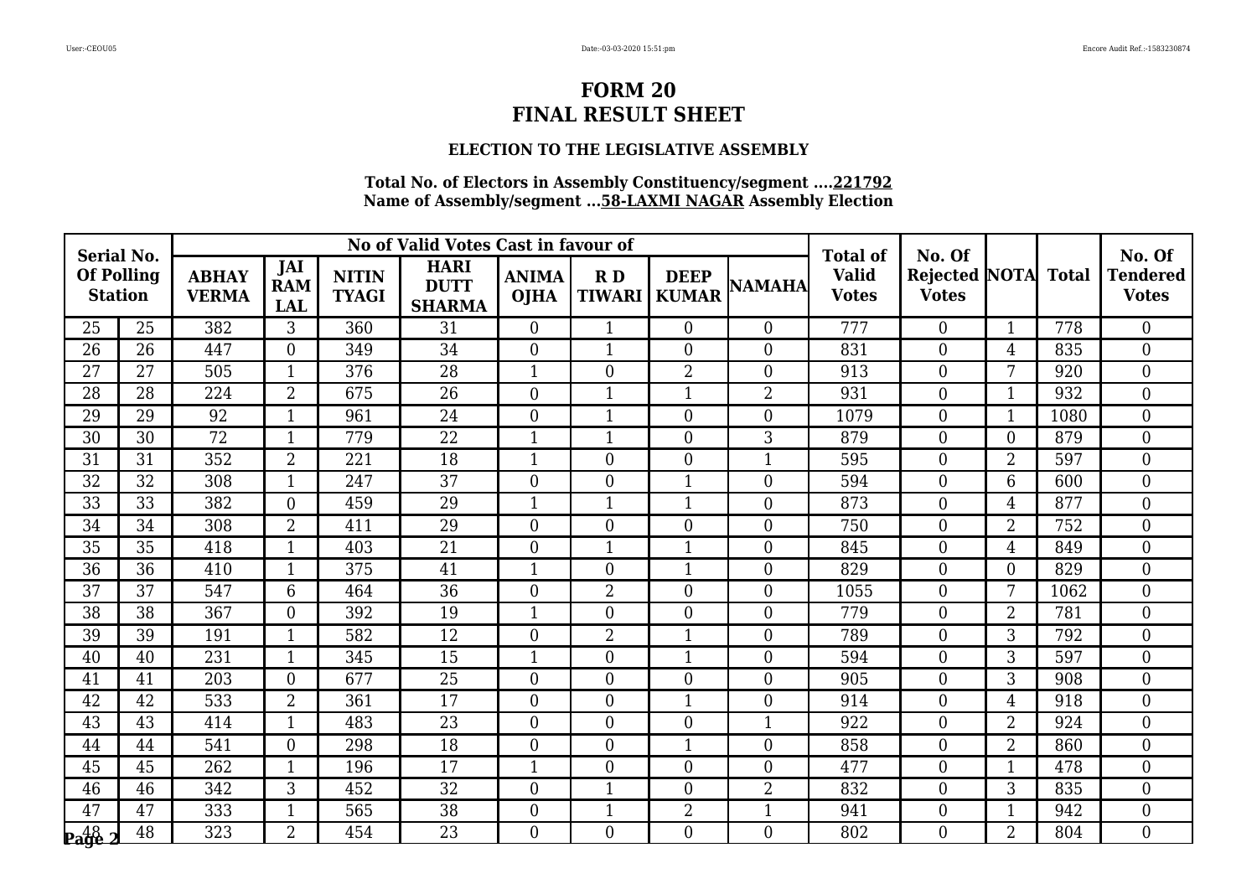## **ELECTION TO THE LEGISLATIVE ASSEMBLY**

| <b>Serial No.</b>                   |    |                              |                                 |                              | No of Valid Votes Cast in favour of         |                             |                     |                             |                  | <b>Total of</b>              | No. Of                                     |                |      | No. Of                          |
|-------------------------------------|----|------------------------------|---------------------------------|------------------------------|---------------------------------------------|-----------------------------|---------------------|-----------------------------|------------------|------------------------------|--------------------------------------------|----------------|------|---------------------------------|
| <b>Of Polling</b><br><b>Station</b> |    | <b>ABHAY</b><br><b>VERMA</b> | JAI<br><b>RAM</b><br><b>LAL</b> | <b>NITIN</b><br><b>TYAGI</b> | <b>HARI</b><br><b>DUTT</b><br><b>SHARMA</b> | <b>ANIMA</b><br><b>OJHA</b> | RD<br><b>TIWARI</b> | <b>DEEP</b><br><b>KUMAR</b> | <b>NAMAHA</b>    | <b>Valid</b><br><b>Votes</b> | <b>Rejected NOTA Total</b><br><b>Votes</b> |                |      | <b>Tendered</b><br><b>Votes</b> |
| 25                                  | 25 | 382                          | 3                               | 360                          | 31                                          | $\overline{0}$              | $\mathbf{1}$        | $\overline{0}$              | $\Omega$         | 777                          | $\overline{0}$                             | $\mathbf{1}$   | 778  | $\theta$                        |
| 26                                  | 26 | 447                          | $\overline{0}$                  | 349                          | 34                                          | $\overline{0}$              | 1                   | $\overline{0}$              | $\overline{0}$   | 831                          | $\boldsymbol{0}$                           | 4              | 835  | $\overline{0}$                  |
| 27                                  | 27 | 505                          | $\mathbf{1}$                    | 376                          | 28                                          | 1                           | $\overline{0}$      | $\overline{2}$              | $\overline{0}$   | 913                          | $\overline{0}$                             | 7              | 920  | $\overline{0}$                  |
| 28                                  | 28 | 224                          | $\overline{2}$                  | 675                          | 26                                          | $\overline{0}$              | 1                   | $\mathbf{1}$                | $\overline{2}$   | 931                          | $\overline{0}$                             | $\mathbf 1$    | 932  | $\overline{0}$                  |
| 29                                  | 29 | 92                           |                                 | 961                          | 24                                          | $\overline{0}$              | 1                   | $\boldsymbol{0}$            | $\overline{0}$   | 1079                         | $\boldsymbol{0}$                           | $\mathbf{1}$   | 1080 | $\overline{0}$                  |
| 30                                  | 30 | 72                           | $\mathbf{1}$                    | 779                          | 22                                          | $\mathbf{1}$                | $\mathbf{1}$        | $\overline{0}$              | 3                | 879                          | $\overline{0}$                             | $\overline{0}$ | 879  | $\overline{0}$                  |
| 31                                  | 31 | 352                          | 2                               | 221                          | 18                                          | 1                           | $\overline{0}$      | $\overline{0}$              | $\mathbf{1}$     | 595                          | $\overline{0}$                             | $\overline{2}$ | 597  | $\theta$                        |
| 32                                  | 32 | 308                          |                                 | 247                          | $\overline{37}$                             | $\overline{0}$              | $\boldsymbol{0}$    | $\mathbf{1}$                | $\overline{0}$   | 594                          | $\boldsymbol{0}$                           | 6              | 600  | $\overline{0}$                  |
| $\overline{33}$                     | 33 | 382                          | $\overline{0}$                  | 459                          | 29                                          | 1                           | $\mathbf{1}$        | $\mathbf{1}$                | $\overline{0}$   | 873                          | $\overline{0}$                             | 4              | 877  | $\mathbf{0}$                    |
| 34                                  | 34 | 308                          | 2                               | 411                          | 29                                          | $\overline{0}$              | $\overline{0}$      | $\overline{0}$              | $\overline{0}$   | 750                          | $\overline{0}$                             | $\overline{2}$ | 752  | $\theta$                        |
| 35                                  | 35 | 418                          |                                 | 403                          | 21                                          | $\overline{0}$              | 1                   | $\overline{1}$              | $\boldsymbol{0}$ | 845                          | $\overline{0}$                             | 4              | 849  | $\overline{0}$                  |
| 36                                  | 36 | 410                          | $\mathbf{1}$                    | 375                          | 41                                          | 1                           | $\overline{0}$      | $\mathbf{1}$                | $\overline{0}$   | 829                          | $\overline{0}$                             | $\overline{0}$ | 829  | $\mathbf{0}$                    |
| 37                                  | 37 | 547                          | 6                               | 464                          | 36                                          | $\Omega$                    | $\overline{2}$      | $\overline{0}$              | $\overline{0}$   | 1055                         | $\overline{0}$                             | 7              | 1062 | $\theta$                        |
| 38                                  | 38 | 367                          | $\overline{0}$                  | 392                          | 19                                          | $\mathbf{1}$                | $\overline{0}$      | $\overline{0}$              | $\overline{0}$   | 779                          | $\overline{0}$                             | $\overline{2}$ | 781  | $\overline{0}$                  |
| 39                                  | 39 | 191                          |                                 | 582                          | 12                                          | $\overline{0}$              | 2                   | $\overline{1}$              | $\overline{0}$   | 789                          | $\overline{0}$                             | 3              | 792  | $\overline{0}$                  |
| 40                                  | 40 | 231                          | $\mathbf{1}$                    | 345                          | 15                                          | $\mathbf{1}$                | $\boldsymbol{0}$    | $\mathbf{1}$                | $\overline{0}$   | 594                          | $\overline{0}$                             | 3              | 597  | $\overline{0}$                  |
| 41                                  | 41 | 203                          | $\overline{0}$                  | 677                          | 25                                          | $\overline{0}$              | $\boldsymbol{0}$    | $\boldsymbol{0}$            | $\boldsymbol{0}$ | 905                          | $\boldsymbol{0}$                           | 3              | 908  | $\overline{0}$                  |
| 42                                  | 42 | 533                          | $\overline{2}$                  | 361                          | $\overline{17}$                             | $\overline{0}$              | $\overline{0}$      | $\mathbf{1}$                | $\overline{0}$   | 914                          | $\overline{0}$                             | 4              | 918  | $\theta$                        |
| 43                                  | 43 | 414                          | $\mathbf{1}$                    | 483                          | 23                                          | $\Omega$                    | $\overline{0}$      | $\overline{0}$              | $\mathbf{1}$     | 922                          | $\overline{0}$                             | $\overline{2}$ | 924  | $\overline{0}$                  |
| 44                                  | 44 | 541                          | $\overline{0}$                  | 298                          | 18                                          | $\overline{0}$              | $\boldsymbol{0}$    | $\mathbf{1}$                | $\boldsymbol{0}$ | 858                          | $\boldsymbol{0}$                           | $\overline{2}$ | 860  | $\overline{0}$                  |
| 45                                  | 45 | 262                          | 1                               | 196                          | 17                                          | 1                           | $\overline{0}$      | $\overline{0}$              | $\overline{0}$   | 477                          | $\overline{0}$                             | $\mathbf{1}$   | 478  | $\theta$                        |
| 46                                  | 46 | 342                          | 3                               | 452                          | 32                                          | $\overline{0}$              | 1                   | $\overline{0}$              | $\overline{2}$   | 832                          | $\overline{0}$                             | 3              | 835  | $\boldsymbol{0}$                |
| 47                                  | 47 | 333                          | $\mathbf{1}$                    | 565                          | $\overline{38}$                             | $\overline{0}$              | $\mathbf{1}$        | $\overline{2}$              | $\mathbf{1}$     | 941                          | $\overline{0}$                             | $\mathbf{1}$   | 942  | $\overline{0}$                  |
| $\mathbf{p_4}^{48}_{92}$            | 48 | 323                          | $\overline{2}$                  | 454                          | 23                                          | $\overline{0}$              | $\overline{0}$      | $\overline{0}$              | $\overline{0}$   | 802                          | $\overline{0}$                             | $\overline{2}$ | 804  | $\Omega$                        |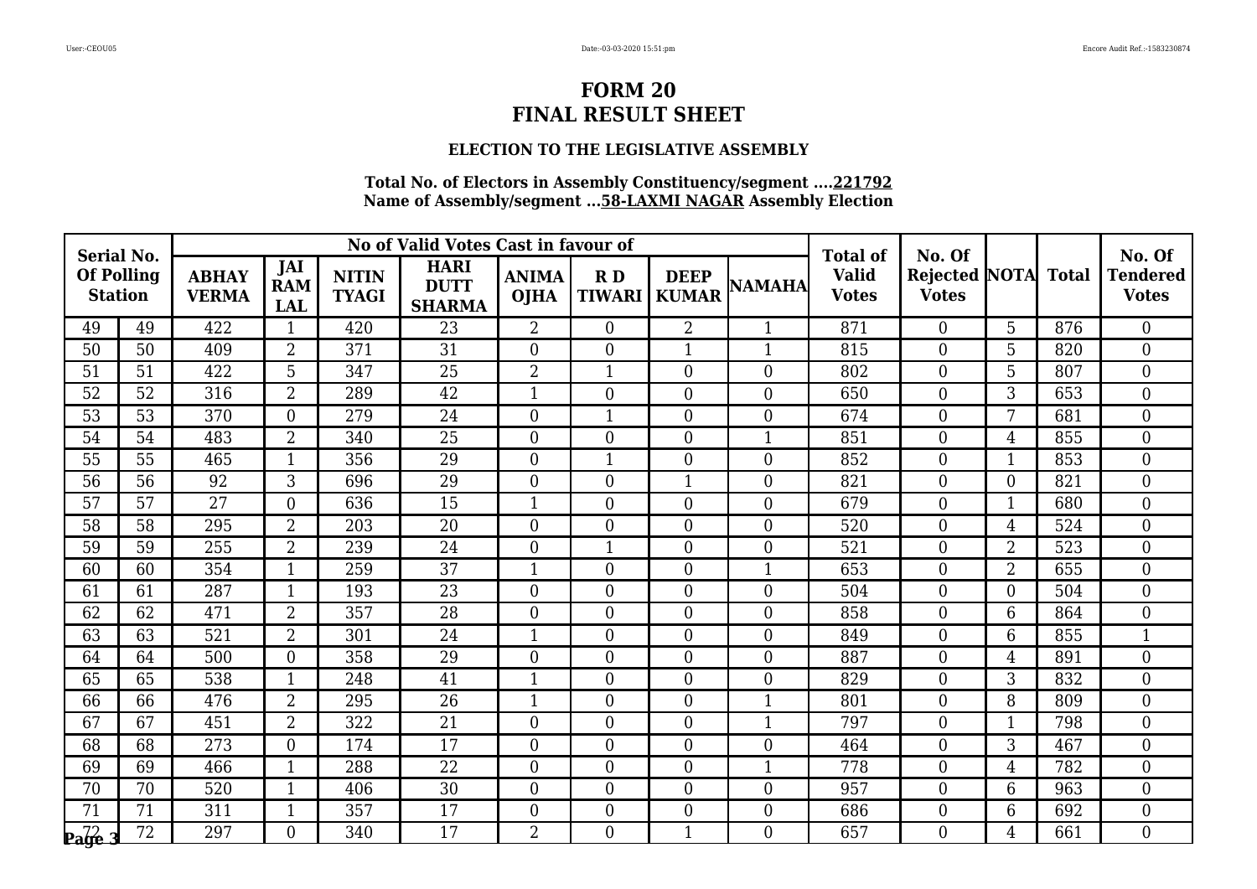## **ELECTION TO THE LEGISLATIVE ASSEMBLY**

| <b>Serial No.</b>                   |    |                              |                                 |                              | No of Valid Votes Cast in favour of         |                             |                     |                             |                  | <b>Total of</b>              | No. Of                                     |                |     | No. Of                          |
|-------------------------------------|----|------------------------------|---------------------------------|------------------------------|---------------------------------------------|-----------------------------|---------------------|-----------------------------|------------------|------------------------------|--------------------------------------------|----------------|-----|---------------------------------|
| <b>Of Polling</b><br><b>Station</b> |    | <b>ABHAY</b><br><b>VERMA</b> | JAI<br><b>RAM</b><br><b>LAL</b> | <b>NITIN</b><br><b>TYAGI</b> | <b>HARI</b><br><b>DUTT</b><br><b>SHARMA</b> | <b>ANIMA</b><br><b>OJHA</b> | RD<br><b>TIWARI</b> | <b>DEEP</b><br><b>KUMAR</b> | <b>NAMAHA</b>    | <b>Valid</b><br><b>Votes</b> | <b>Rejected NOTA Total</b><br><b>Votes</b> |                |     | <b>Tendered</b><br><b>Votes</b> |
| 49                                  | 49 | 422                          | $\mathbf{1}$                    | 420                          | 23                                          | $\overline{2}$              | $\overline{0}$      | $\overline{2}$              | $\mathbf{1}$     | 871                          | $\overline{0}$                             | 5              | 876 | $\theta$                        |
| 50                                  | 50 | 409                          | $\overline{2}$                  | 371                          | 31                                          | $\Omega$                    | $\overline{0}$      | $\mathbf{1}$                | $\mathbf{1}$     | 815                          | $\boldsymbol{0}$                           | 5              | 820 | $\overline{0}$                  |
| 51                                  | 51 | 422                          | 5                               | 347                          | 25                                          | $\overline{2}$              | $\mathbf{1}$        | $\overline{0}$              | $\boldsymbol{0}$ | 802                          | $\overline{0}$                             | 5              | 807 | $\mathbf{0}$                    |
| 52                                  | 52 | 316                          | $\overline{2}$                  | 289                          | $\overline{42}$                             | 1                           | $\overline{0}$      | $\overline{0}$              | $\overline{0}$   | 650                          | $\overline{0}$                             | 3              | 653 | $\overline{0}$                  |
| 53                                  | 53 | 370                          | $\overline{0}$                  | 279                          | 24                                          | $\overline{0}$              | 1                   | $\boldsymbol{0}$            | $\boldsymbol{0}$ | 674                          | 0                                          | 7              | 681 | $\overline{0}$                  |
| 54                                  | 54 | 483                          | $\overline{2}$                  | 340                          | 25                                          | $\overline{0}$              | $\overline{0}$      | $\overline{0}$              | $\mathbf{1}$     | 851                          | $\overline{0}$                             | 4              | 855 | $\overline{0}$                  |
| 55                                  | 55 | 465                          | $\mathbf{1}$                    | 356                          | 29                                          | $\Omega$                    | $\mathbf{1}$        | $\overline{0}$              | $\overline{0}$   | 852                          | $\overline{0}$                             | $\mathbf{1}$   | 853 | $\theta$                        |
| 56                                  | 56 | 92                           | 3                               | 696                          | 29                                          | $\overline{0}$              | $\overline{0}$      | $\mathbf{1}$                | $\boldsymbol{0}$ | 821                          | 0                                          | $\overline{0}$ | 821 | $\overline{0}$                  |
| 57                                  | 57 | $\overline{27}$              | $\overline{0}$                  | 636                          | 15                                          | 1                           | $\overline{0}$      | $\overline{0}$              | $\mathbf{0}$     | 679                          | $\overline{0}$                             | 1              | 680 | $\overline{0}$                  |
| 58                                  | 58 | 295                          | $\overline{2}$                  | 203                          | 20                                          | $\overline{0}$              | $\overline{0}$      | $\overline{0}$              | $\overline{0}$   | 520                          | $\overline{0}$                             | 4              | 524 | $\overline{0}$                  |
| 59                                  | 59 | 255                          | 2                               | 239                          | 24                                          | $\overline{0}$              | $\mathbf{1}$        | $\boldsymbol{0}$            | $\boldsymbol{0}$ | 521                          | $\overline{0}$                             | $\overline{2}$ | 523 | $\boldsymbol{0}$                |
| 60                                  | 60 | 354                          | $\mathbf{1}$                    | 259                          | 37                                          | 1                           | $\overline{0}$      | $\overline{0}$              | $\mathbf{1}$     | 653                          | $\overline{0}$                             | $\overline{2}$ | 655 | $\overline{0}$                  |
| 61                                  | 61 | 287                          | $\mathbf{1}$                    | 193                          | 23                                          | $\Omega$                    | $\overline{0}$      | $\overline{0}$              | $\overline{0}$   | 504                          | $\overline{0}$                             | $\overline{0}$ | 504 | $\overline{0}$                  |
| 62                                  | 62 | 471                          | $\overline{2}$                  | 357                          | 28                                          | $\Omega$                    | $\overline{0}$      | $\overline{0}$              | $\overline{0}$   | 858                          | $\overline{0}$                             | 6              | 864 | $\overline{0}$                  |
| 63                                  | 63 | 521                          | $\overline{2}$                  | 301                          | 24                                          | 1                           | $\overline{0}$      | $\boldsymbol{0}$            | $\boldsymbol{0}$ | 849                          | $\overline{0}$                             | 6              | 855 | $\mathbf{1}$                    |
| 64                                  | 64 | 500                          | $\overline{0}$                  | 358                          | 29                                          | $\Omega$                    | $\overline{0}$      | $\overline{0}$              | $\boldsymbol{0}$ | 887                          | 0                                          | 4              | 891 | $\boldsymbol{0}$                |
| 65                                  | 65 | 538                          | $\mathbf{1}$                    | 248                          | 41                                          | 1                           | $\overline{0}$      | $\boldsymbol{0}$            | $\boldsymbol{0}$ | 829                          | 0                                          | 3              | 832 | $\boldsymbol{0}$                |
| 66                                  | 66 | 476                          | $\overline{2}$                  | 295                          | $\overline{26}$                             | 1                           | $\overline{0}$      | $\overline{0}$              | $\overline{1}$   | 801                          | $\overline{0}$                             | 8              | 809 | $\overline{0}$                  |
| 67                                  | 67 | 451                          | $\overline{2}$                  | 322                          | 21                                          | $\overline{0}$              | $\overline{0}$      | $\overline{0}$              | $\mathbf{1}$     | 797                          | $\overline{0}$                             | 1              | 798 | $\overline{0}$                  |
| 68                                  | 68 | 273                          | $\overline{0}$                  | 174                          | 17                                          | $\Omega$                    | $\boldsymbol{0}$    | $\boldsymbol{0}$            | $\boldsymbol{0}$ | 464                          | 0                                          | 3              | 467 | $\overline{0}$                  |
| 69                                  | 69 | 466                          | $\mathbf{1}$                    | 288                          | $\overline{22}$                             | $\overline{0}$              | $\overline{0}$      | $\overline{0}$              | $\mathbf{1}$     | 778                          | $\overline{0}$                             | 4              | 782 | $\overline{0}$                  |
| 70                                  | 70 | 520                          | 1                               | 406                          | 30                                          | $\overline{0}$              | $\overline{0}$      | $\overline{0}$              | $\boldsymbol{0}$ | 957                          | $\overline{0}$                             | 6              | 963 | $\boldsymbol{0}$                |
| 71                                  | 71 | 311                          | $\mathbf{1}$                    | 357                          | $\overline{17}$                             | $\overline{0}$              | $\overline{0}$      | $\overline{0}$              | $\boldsymbol{0}$ | 686                          | $\overline{0}$                             | 6              | 692 | $\overline{0}$                  |
| $\sqrt{\frac{7}{2}}$                | 72 | 297                          | $\overline{0}$                  | 340                          | $\overline{17}$                             | $\overline{2}$              | $\overline{0}$      | $\mathbf{1}$                | $\theta$         | 657                          | $\overline{0}$                             | 4              | 661 | $\Omega$                        |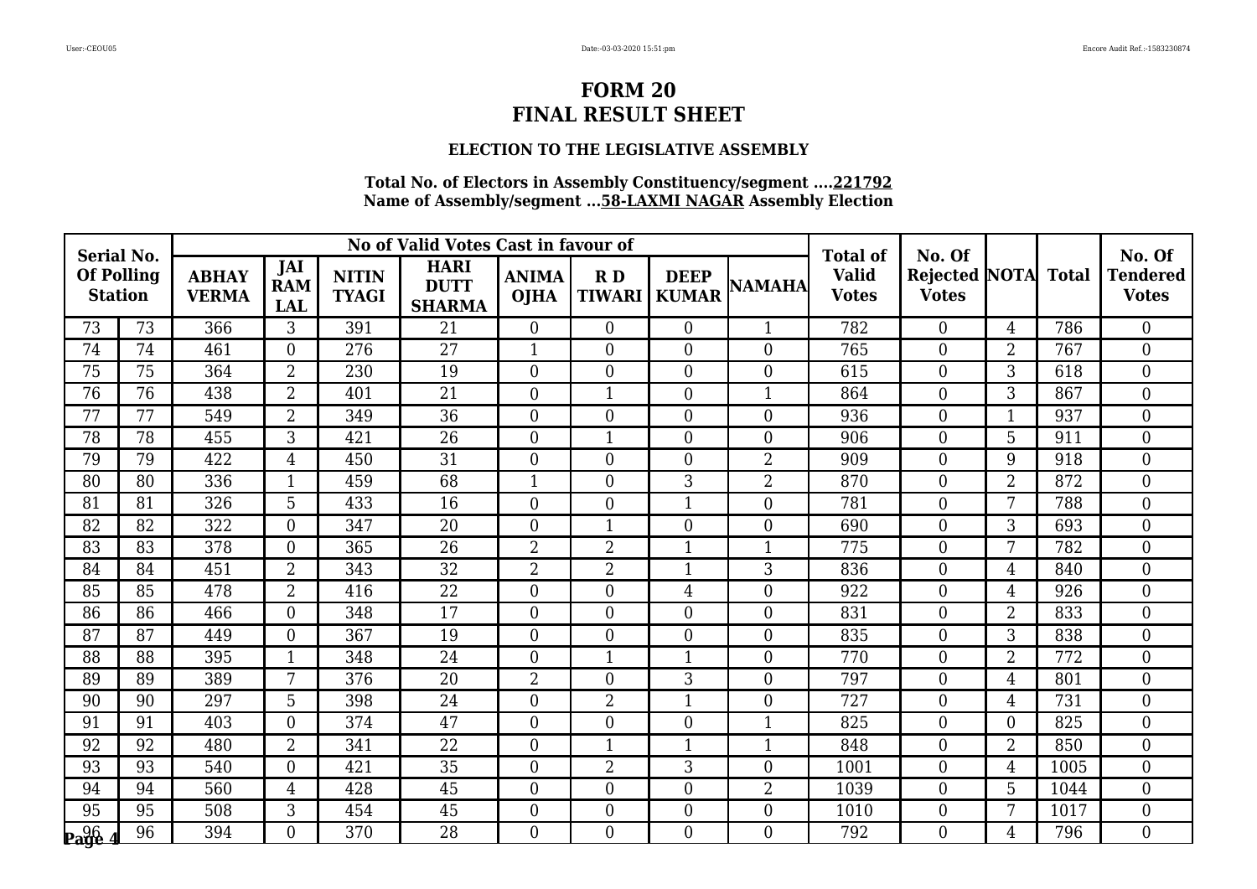## **ELECTION TO THE LEGISLATIVE ASSEMBLY**

| <b>Serial No.</b>                   |    |                              |                                 |                              | No of Valid Votes Cast in favour of         |                             |                     |                             |                  | <b>Total of</b>              | No. Of                               |                |              | No. Of                          |
|-------------------------------------|----|------------------------------|---------------------------------|------------------------------|---------------------------------------------|-----------------------------|---------------------|-----------------------------|------------------|------------------------------|--------------------------------------|----------------|--------------|---------------------------------|
| <b>Of Polling</b><br><b>Station</b> |    | <b>ABHAY</b><br><b>VERMA</b> | JAI<br><b>RAM</b><br><b>LAL</b> | <b>NITIN</b><br><b>TYAGI</b> | <b>HARI</b><br><b>DUTT</b><br><b>SHARMA</b> | <b>ANIMA</b><br><b>OJHA</b> | RD<br><b>TIWARI</b> | <b>DEEP</b><br><b>KUMAR</b> | <b>NAMAHA</b>    | <b>Valid</b><br><b>Votes</b> | <b>Rejected NOTA</b><br><b>Votes</b> |                | <b>Total</b> | <b>Tendered</b><br><b>Votes</b> |
| 73                                  | 73 | 366                          | 3                               | 391                          | 21                                          | $\overline{0}$              | $\overline{0}$      | $\overline{0}$              | $\mathbf{1}$     | 782                          | $\overline{0}$                       | $\overline{4}$ | 786          | $\theta$                        |
| 74                                  | 74 | 461                          | $\Omega$                        | 276                          | 27                                          | $\mathbf{1}$                | $\overline{0}$      | $\overline{0}$              | $\overline{0}$   | 765                          | $\overline{0}$                       | $\overline{2}$ | 767          | $\overline{0}$                  |
| 75                                  | 75 | 364                          | $\overline{2}$                  | 230                          | 19                                          | $\overline{0}$              | $\overline{0}$      | $\overline{0}$              | $\boldsymbol{0}$ | 615                          | $\boldsymbol{0}$                     | 3              | 618          | $\boldsymbol{0}$                |
| 76                                  | 76 | 438                          | 2                               | 401                          | 21                                          | $\overline{0}$              | $\mathbf{1}$        | $\overline{0}$              | $\mathbf{1}$     | 864                          | $\overline{0}$                       | 3              | 867          | $\mathbf{0}$                    |
| 77                                  | 77 | 549                          | $\overline{2}$                  | 349                          | 36                                          | $\overline{0}$              | 0                   | $\boldsymbol{0}$            | $\boldsymbol{0}$ | 936                          | $\boldsymbol{0}$                     | $\mathbf{1}$   | 937          | $\boldsymbol{0}$                |
| 78                                  | 78 | 455                          | 3                               | 421                          | 26                                          | $\overline{0}$              | $\mathbf{1}$        | $\overline{0}$              | $\overline{0}$   | 906                          | $\overline{0}$                       | 5              | 911          | $\mathbf{0}$                    |
| 79                                  | 79 | 422                          | $\overline{4}$                  | 450                          | 31                                          | $\overline{0}$              | $\overline{0}$      | $\theta$                    | $\overline{2}$   | 909                          | $\overline{0}$                       | 9              | 918          | $\overline{0}$                  |
| 80                                  | 80 | 336                          |                                 | 459                          | 68                                          | 1                           | $\overline{0}$      | 3                           | $\overline{2}$   | 870                          | $\boldsymbol{0}$                     | $\overline{2}$ | 872          | $\overline{0}$                  |
| 81                                  | 81 | 326                          | $\overline{5}$                  | 433                          | 16                                          | $\overline{0}$              | $\overline{0}$      | $\mathbf{1}$                | $\boldsymbol{0}$ | 781                          | $\overline{0}$                       | 7              | 788          | $\mathbf{0}$                    |
| 82                                  | 82 | 322                          | $\Omega$                        | 347                          | 20                                          | $\overline{0}$              | $\mathbf{1}$        | $\overline{0}$              | $\overline{0}$   | 690                          | $\overline{0}$                       | 3              | 693          | $\overline{0}$                  |
| 83                                  | 83 | 378                          | $\Omega$                        | 365                          | 26                                          | $\overline{2}$              | 2                   | $\mathbf{1}$                | $\mathbf{1}$     | 775                          | $\boldsymbol{0}$                     | 7              | 782          | $\boldsymbol{0}$                |
| 84                                  | 84 | 451                          | $\overline{2}$                  | 343                          | 32                                          | $\overline{2}$              | $\overline{2}$      | $\mathbf{1}$                | 3                | 836                          | $\overline{0}$                       | 4              | 840          | $\overline{0}$                  |
| 85                                  | 85 | 478                          | $\overline{2}$                  | 416                          | 22                                          | $\overline{0}$              | $\overline{0}$      | 4                           | $\overline{0}$   | 922                          | $\overline{0}$                       | 4              | 926          | $\overline{0}$                  |
| 86                                  | 86 | 466                          | $\Omega$                        | 348                          | 17                                          | $\overline{0}$              | $\overline{0}$      | $\overline{0}$              | $\overline{0}$   | 831                          | $\boldsymbol{0}$                     | $\overline{2}$ | 833          | $\boldsymbol{0}$                |
| 87                                  | 87 | 449                          | $\overline{0}$                  | 367                          | 19                                          | $\overline{0}$              | $\overline{0}$      | $\overline{0}$              | $\overline{0}$   | 835                          | $\overline{0}$                       | 3              | 838          | $\overline{0}$                  |
| 88                                  | 88 | 395                          |                                 | 348                          | 24                                          | $\overline{0}$              | $\mathbf{1}$        | $\mathbf{1}$                | $\boldsymbol{0}$ | 770                          | $\boldsymbol{0}$                     | $\overline{2}$ | 772          | $\boldsymbol{0}$                |
| 89                                  | 89 | 389                          | 7                               | 376                          | 20                                          | $\overline{2}$              | 0                   | 3                           | $\boldsymbol{0}$ | 797                          | $\boldsymbol{0}$                     | $\overline{4}$ | 801          | $\boldsymbol{0}$                |
| 90                                  | 90 | 297                          | 5                               | 398                          | 24                                          | $\overline{0}$              | $\overline{2}$      | $\mathbf{1}$                | $\overline{0}$   | 727                          | $\overline{0}$                       | $\overline{4}$ | 731          | $\overline{0}$                  |
| 91                                  | 91 | 403                          | $\Omega$                        | 374                          | 47                                          | $\overline{0}$              | $\overline{0}$      | $\overline{0}$              | $\mathbf{1}$     | 825                          | $\overline{0}$                       | $\theta$       | 825          | $\boldsymbol{0}$                |
| 92                                  | 92 | 480                          | $\overline{2}$                  | 341                          | 22                                          | $\overline{0}$              | $\mathbf{1}$        | $\mathbf{1}$                | $\mathbf{1}$     | 848                          | $\boldsymbol{0}$                     | $\overline{2}$ | 850          | $\boldsymbol{0}$                |
| 93                                  | 93 | 540                          | $\Omega$                        | 421                          | 35                                          | $\overline{0}$              | $\overline{2}$      | 3                           | $\overline{0}$   | 1001                         | $\overline{0}$                       | 4              | 1005         | $\overline{0}$                  |
| 94                                  | 94 | 560                          | $\overline{4}$                  | 428                          | 45                                          | $\overline{0}$              | $\overline{0}$      | $\boldsymbol{0}$            | $\overline{2}$   | 1039                         | $\boldsymbol{0}$                     | 5              | 1044         | $\boldsymbol{0}$                |
| 95                                  | 95 | 508                          | 3                               | 454                          | $\overline{45}$                             | $\overline{0}$              | $\overline{0}$      | $\overline{0}$              | $\boldsymbol{0}$ | 1010                         | $\boldsymbol{0}$                     | $\overline{7}$ | 1017         | $\mathbf{0}$                    |
| Page                                | 96 | 394                          | $\Omega$                        | 370                          | 28                                          | $\overline{0}$              | $\overline{0}$      | $\overline{0}$              | $\theta$         | 792                          | $\Omega$                             | $\overline{4}$ | 796          | $\overline{0}$                  |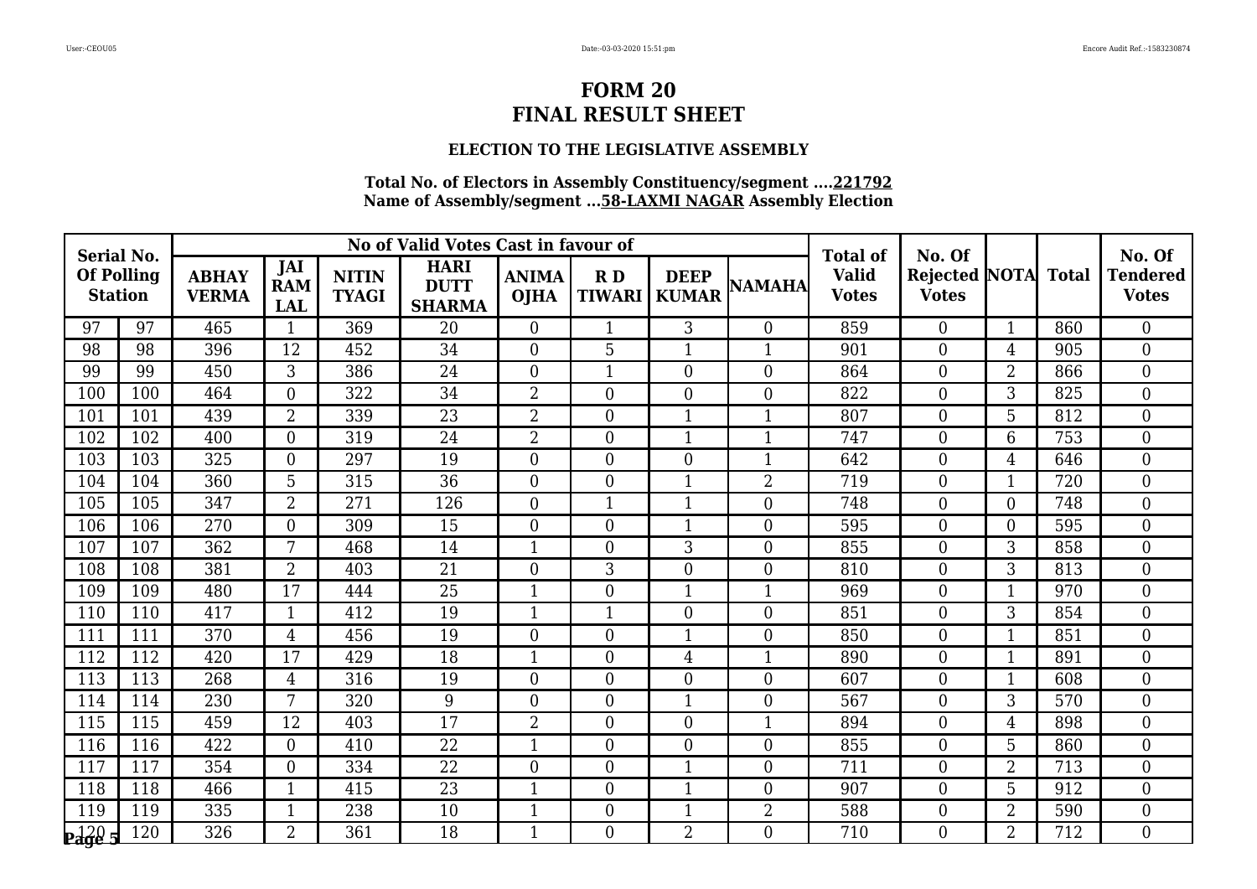## **ELECTION TO THE LEGISLATIVE ASSEMBLY**

| <b>Serial No.</b>                              |     |                              |                                 |                              | No of Valid Votes Cast in favour of         |                             |                     |                             |                  | <b>Total of</b>              | No. Of                        |                |              | No. Of                          |
|------------------------------------------------|-----|------------------------------|---------------------------------|------------------------------|---------------------------------------------|-----------------------------|---------------------|-----------------------------|------------------|------------------------------|-------------------------------|----------------|--------------|---------------------------------|
| <b>Of Polling</b><br><b>Station</b>            |     | <b>ABHAY</b><br><b>VERMA</b> | JAI<br><b>RAM</b><br><b>LAL</b> | <b>NITIN</b><br><b>TYAGI</b> | <b>HARI</b><br><b>DUTT</b><br><b>SHARMA</b> | <b>ANIMA</b><br><b>OJHA</b> | RD<br><b>TIWARI</b> | <b>DEEP</b><br><b>KUMAR</b> | <b>NAMAHA</b>    | <b>Valid</b><br><b>Votes</b> | Rejected NOTA<br><b>Votes</b> |                | <b>Total</b> | <b>Tendered</b><br><b>Votes</b> |
| 97                                             | 97  | 465                          | 1                               | 369                          | 20                                          | $\overline{0}$              | $\mathbf{1}$        | $\overline{3}$              | $\theta$         | 859                          | $\overline{0}$                | $\mathbf{1}$   | 860          | $\theta$                        |
| 98                                             | 98  | 396                          | 12                              | 452                          | 34                                          | $\overline{0}$              | 5                   | $\mathbf{1}$                | $\mathbf{1}$     | 901                          | 0                             | 4              | 905          | $\overline{0}$                  |
| 99                                             | 99  | 450                          | 3                               | 386                          | 24                                          | $\overline{0}$              | 1                   | $\overline{0}$              | $\mathbf{0}$     | 864                          | $\boldsymbol{0}$              | $\overline{2}$ | 866          | $\mathbf{0}$                    |
| 100                                            | 100 | 464                          | $\Omega$                        | 322                          | 34                                          | $\overline{2}$              | $\overline{0}$      | $\overline{0}$              | $\boldsymbol{0}$ | 822                          | 0                             | 3              | 825          | $\overline{0}$                  |
| 101                                            | 101 | 439                          | $\overline{2}$                  | 339                          | $\overline{23}$                             | $\overline{2}$              | $\overline{0}$      | $\mathbf{1}$                | 1                | 807                          | 0                             | 5              | 812          | $\overline{0}$                  |
| 102                                            | 102 | 400                          | $\Omega$                        | 319                          | 24                                          | $\overline{2}$              | $\overline{0}$      | $\mathbf{1}$                | $\mathbf{1}$     | 747                          | $\overline{0}$                | 6              | 753          | $\mathbf{0}$                    |
| 103                                            | 103 | 325                          | $\Omega$                        | 297                          | 19                                          | $\overline{0}$              | $\overline{0}$      | $\overline{0}$              | $\mathbf{1}$     | 642                          | $\overline{0}$                | 4              | 646          | $\theta$                        |
| 104                                            | 104 | 360                          | 5                               | 315                          | 36                                          | $\overline{0}$              | $\overline{0}$      | $\mathbf{1}$                | $\overline{2}$   | 719                          | 0                             | 1              | 720          | $\boldsymbol{0}$                |
| 105                                            | 105 | 347                          | $\overline{2}$                  | 271                          | 126                                         | $\boldsymbol{0}$            | $\mathbf{1}$        | $\overline{1}$              | $\mathbf{0}$     | 748                          | $\overline{0}$                | $\overline{0}$ | 748          | $\boldsymbol{0}$                |
| 106                                            | 106 | 270                          | $\Omega$                        | 309                          | 15                                          | $\overline{0}$              | $\overline{0}$      | $\mathbf{1}$                | $\overline{0}$   | 595                          | $\overline{0}$                | $\theta$       | 595          | $\theta$                        |
| 107                                            | 107 | 362                          | 7                               | 468                          | 14                                          | 1                           | $\overline{0}$      | 3                           | $\overline{0}$   | 855                          | 0                             | 3              | 858          | $\overline{0}$                  |
| 108                                            | 108 | 381                          | $\overline{2}$                  | 403                          | 21                                          | $\overline{0}$              | 3                   | $\overline{0}$              | $\mathbf{0}$     | 810                          | $\overline{0}$                | 3              | 813          | $\overline{0}$                  |
| 109                                            | 109 | 480                          | 17                              | 444                          | 25                                          | $\mathbf{1}$                | $\overline{0}$      | $\mathbf{1}$                | $\mathbf{1}$     | 969                          | $\boldsymbol{0}$              | 1              | 970          | $\overline{0}$                  |
| 110                                            | 110 | 417                          | $\mathbf{1}$                    | 412                          | 19                                          | $\mathbf{1}$                | 1                   | $\overline{0}$              | $\overline{0}$   | 851                          | $\overline{0}$                | 3              | 854          | $\overline{0}$                  |
| 111                                            | 111 | 370                          | $\overline{4}$                  | 456                          | 19                                          | $\overline{0}$              | $\overline{0}$      | $\overline{1}$              | $\overline{0}$   | 850                          | $\overline{0}$                | 1              | 851          | $\theta$                        |
| 112                                            | 112 | 420                          | 17                              | 429                          | 18                                          | 1                           | $\overline{0}$      | 4                           | $\mathbf{1}$     | 890                          | 0                             | 1              | 891          | $\overline{0}$                  |
| 113                                            | 113 | 268                          | $\overline{4}$                  | 316                          | 19                                          | $\overline{0}$              | $\boldsymbol{0}$    | $\overline{0}$              | $\mathbf{0}$     | 607                          | 0                             | 1              | 608          | $\overline{0}$                  |
| 114                                            | 114 | 230                          | $7\phantom{.0}$                 | 320                          | 9                                           | $\overline{0}$              | $\overline{0}$      | $\mathbf{1}$                | $\mathbf{0}$     | 567                          | $\overline{0}$                | 3              | 570          | $\overline{0}$                  |
| 115                                            | 115 | 459                          | 12                              | 403                          | 17                                          | $\overline{2}$              | $\overline{0}$      | $\overline{0}$              | $\mathbf{1}$     | 894                          | $\overline{0}$                | 4              | 898          | $\overline{0}$                  |
| 116                                            | 116 | 422                          | $\Omega$                        | 410                          | 22                                          | 1                           | $\boldsymbol{0}$    | $\boldsymbol{0}$            | $\mathbf{0}$     | 855                          | 0                             | 5              | 860          | $\overline{0}$                  |
| 117                                            | 117 | 354                          | $\Omega$                        | 334                          | $\overline{22}$                             | $\overline{0}$              | $\overline{0}$      | $\mathbf{1}$                | $\overline{0}$   | 711                          | $\overline{0}$                | $\overline{2}$ | 713          | $\theta$                        |
| 118                                            | 118 | 466                          |                                 | 415                          | 23                                          | 1                           | $\boldsymbol{0}$    | $\mathbf 1$                 | $\boldsymbol{0}$ | 907                          | 0                             | 5              | 912          | $\overline{0}$                  |
| 119                                            | 119 | 335                          |                                 | 238                          | 10                                          | $\mathbf{1}$                | $\overline{0}$      | $\mathbf{1}$                | $\overline{2}$   | 588                          | $\overline{0}$                | $\overline{2}$ | 590          | $\boldsymbol{0}$                |
| $\mathbf{p}_{\mathbf{a}\mathbf{g}\mathbf{e}$ 5 | 120 | 326                          | $\overline{2}$                  | 361                          | 18                                          | $\mathbf{1}$                | $\overline{0}$      | $\overline{2}$              | $\theta$         | 710                          | $\overline{0}$                | $\overline{2}$ | 712          | $\Omega$                        |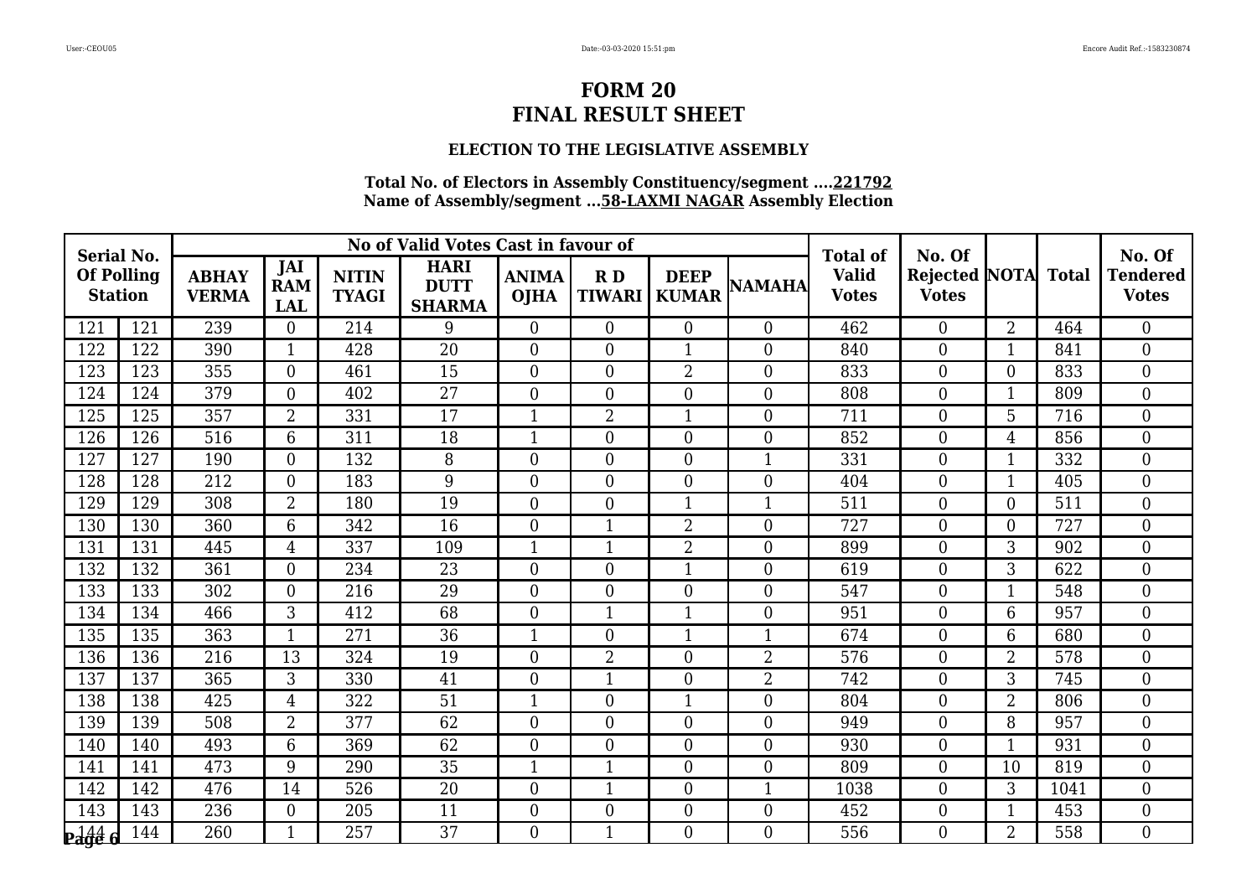## **ELECTION TO THE LEGISLATIVE ASSEMBLY**

| <b>Serial No.</b>                                               |     |                              |                                 |                              | No of Valid Votes Cast in favour of         |                             |                     |                             |                  | <b>Total of</b>              | No. Of                               |                |              | No. Of                          |
|-----------------------------------------------------------------|-----|------------------------------|---------------------------------|------------------------------|---------------------------------------------|-----------------------------|---------------------|-----------------------------|------------------|------------------------------|--------------------------------------|----------------|--------------|---------------------------------|
| <b>Of Polling</b><br><b>Station</b>                             |     | <b>ABHAY</b><br><b>VERMA</b> | JAI<br><b>RAM</b><br><b>LAL</b> | <b>NITIN</b><br><b>TYAGI</b> | <b>HARI</b><br><b>DUTT</b><br><b>SHARMA</b> | <b>ANIMA</b><br><b>OJHA</b> | RD<br><b>TIWARI</b> | <b>DEEP</b><br><b>KUMAR</b> | <b>NAMAHA</b>    | <b>Valid</b><br><b>Votes</b> | <b>Rejected NOTA</b><br><b>Votes</b> |                | <b>Total</b> | <b>Tendered</b><br><b>Votes</b> |
| 121                                                             | 121 | 239                          | $\theta$                        | 214                          | 9                                           | $\overline{0}$              | $\overline{0}$      | $\Omega$                    | $\theta$         | 462                          | $\overline{0}$                       | $\overline{2}$ | 464          | $\theta$                        |
| 122                                                             | 122 | 390                          | 1                               | 428                          | 20                                          | $\overline{0}$              | $\overline{0}$      | $\mathbf{1}$                | $\overline{0}$   | 840                          | $\overline{0}$                       | 1              | 841          | $\overline{0}$                  |
| 123                                                             | 123 | 355                          | $\Omega$                        | 461                          | 15                                          | $\overline{0}$              | $\overline{0}$      | $\overline{2}$              | $\overline{0}$   | 833                          | 0                                    | $\theta$       | 833          | $\boldsymbol{0}$                |
| 124                                                             | 124 | 379                          | $\Omega$                        | 402                          | $\overline{27}$                             | $\overline{0}$              | $\overline{0}$      | $\overline{0}$              | $\overline{0}$   | 808                          | $\overline{0}$                       | 1              | 809          | $\overline{0}$                  |
| 125                                                             | 125 | 357                          | 2                               | 331                          | 17                                          | 1                           | $\overline{2}$      | 1                           | $\boldsymbol{0}$ | 711                          | 0                                    | 5              | 716          | $\overline{0}$                  |
| 126                                                             | 126 | 516                          | 6                               | 311                          | 18                                          | 1                           | $\overline{0}$      | $\overline{0}$              | $\overline{0}$   | 852                          | $\overline{0}$                       | $\overline{4}$ | 856          | $\overline{0}$                  |
| 127                                                             | 127 | 190                          | $\Omega$                        | 132                          | 8                                           | $\overline{0}$              | $\overline{0}$      | $\Omega$                    | $\mathbf{1}$     | 331                          | $\overline{0}$                       | 1              | 332          | $\theta$                        |
| 128                                                             | 128 | 212                          | $\Omega$                        | 183                          | 9                                           | $\overline{0}$              | $\overline{0}$      | $\overline{0}$              | $\boldsymbol{0}$ | 404                          | 0                                    | $\mathbf{1}$   | 405          | $\overline{0}$                  |
| 129                                                             | 129 | 308                          | $\overline{2}$                  | 180                          | 19                                          | $\overline{0}$              | $\overline{0}$      | $\mathbf{1}$                | $\mathbf{1}$     | 511                          | $\overline{0}$                       | $\theta$       | 511          | $\overline{0}$                  |
| 130                                                             | 130 | 360                          | 6                               | 342                          | 16                                          | $\overline{0}$              | $\mathbf{1}$        | $\overline{2}$              | $\overline{0}$   | 727                          | $\overline{0}$                       | $\theta$       | 727          | $\theta$                        |
| 131                                                             | 131 | 445                          | $\overline{4}$                  | 337                          | 109                                         | 1                           | 1                   | $\overline{2}$              | $\boldsymbol{0}$ | 899                          | 0                                    | 3              | 902          | $\boldsymbol{0}$                |
| 132                                                             | 132 | 361                          | $\overline{0}$                  | 234                          | 23                                          | $\overline{0}$              | $\overline{0}$      | $\overline{1}$              | $\mathbf{0}$     | 619                          | $\overline{0}$                       | 3              | 622          | $\overline{0}$                  |
| 133                                                             | 133 | 302                          | $\Omega$                        | 216                          | 29                                          | $\overline{0}$              | $\overline{0}$      | $\overline{0}$              | $\overline{0}$   | 547                          | $\overline{0}$                       | $\mathbf{1}$   | 548          | $\overline{0}$                  |
| 134                                                             | 134 | 466                          | 3                               | 412                          | 68                                          | $\overline{0}$              | 1                   | $\mathbf{1}$                | $\mathbf{0}$     | 951                          | 0                                    | 6              | 957          | $\overline{0}$                  |
| 135                                                             | 135 | 363                          |                                 | 271                          | 36                                          | 1                           | $\boldsymbol{0}$    | $\mathbf{1}$                | $\mathbf{1}$     | 674                          | 0                                    | 6              | 680          | $\overline{0}$                  |
| 136                                                             | 136 | 216                          | 13                              | 324                          | 19                                          | $\overline{0}$              | $\overline{2}$      | $\overline{0}$              | $\overline{2}$   | 576                          | 0                                    | $\overline{2}$ | 578          | $\boldsymbol{0}$                |
| 137                                                             | 137 | 365                          | 3                               | 330                          | 41                                          | $\overline{0}$              | 1                   | $\overline{0}$              | $\overline{2}$   | 742                          | 0                                    | 3              | 745          | $\boldsymbol{0}$                |
| 138                                                             | 138 | 425                          | $\overline{4}$                  | 322                          | $\overline{51}$                             | 1                           | $\overline{0}$      | $\mathbf{1}$                | $\overline{0}$   | 804                          | $\overline{0}$                       | $\overline{2}$ | 806          | $\overline{0}$                  |
| 139                                                             | 139 | 508                          | $\overline{2}$                  | 377                          | 62                                          | $\overline{0}$              | $\overline{0}$      | $\overline{0}$              | $\overline{0}$   | 949                          | $\overline{0}$                       | 8              | 957          | $\overline{0}$                  |
| 140                                                             | 140 | 493                          | 6                               | 369                          | 62                                          | $\overline{0}$              | $\boldsymbol{0}$    | $\overline{0}$              | $\mathbf{0}$     | 930                          | 0                                    | $\mathbf{1}$   | 931          | $\overline{0}$                  |
| 141                                                             | 141 | 473                          | 9                               | 290                          | 35                                          | $\mathbf{1}$                | $\mathbf{1}$        | $\overline{0}$              | $\overline{0}$   | 809                          | $\overline{0}$                       | 10             | 819          | $\theta$                        |
| 142                                                             | 142 | 476                          | 14                              | 526                          | 20                                          | $\overline{0}$              | 1                   | $\overline{0}$              | $\mathbf{1}$     | 1038                         | 0                                    | 3              | 1041         | $\overline{0}$                  |
| 143                                                             | 143 | 236                          | $\overline{0}$                  | 205                          | 11                                          | $\overline{0}$              | $\overline{0}$      | $\overline{0}$              | $\boldsymbol{0}$ | 452                          | $\overline{0}$                       | $\mathbf{1}$   | 453          | $\overline{0}$                  |
| $P_{\text{a}}\overset{144}{\phantom{1}\phantom{1}\phantom{1}}6$ | 144 | 260                          | $\mathbf{1}$                    | 257                          | 37                                          | $\Omega$                    | $\mathbf{1}$        | $\Omega$                    | $\theta$         | 556                          | $\overline{0}$                       | $\overline{2}$ | 558          | $\Omega$                        |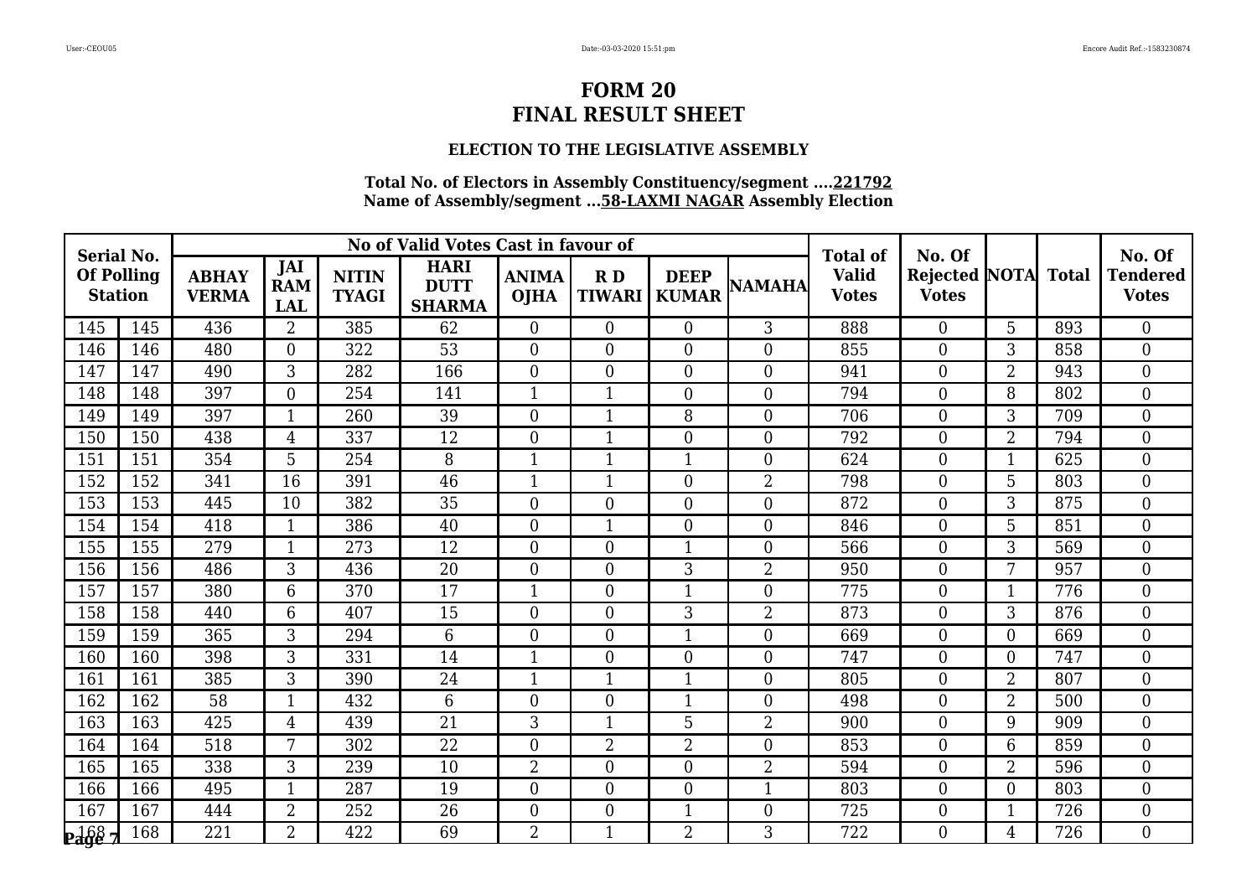## **ELECTION TO THE LEGISLATIVE ASSEMBLY**

| <b>Serial No.</b>                   |     |                              |                                 |                              | No of Valid Votes Cast in favour of         |                             |                     |                             |                  | <b>Total of</b>              | No. Of                        |                |              | No. Of                          |
|-------------------------------------|-----|------------------------------|---------------------------------|------------------------------|---------------------------------------------|-----------------------------|---------------------|-----------------------------|------------------|------------------------------|-------------------------------|----------------|--------------|---------------------------------|
| <b>Of Polling</b><br><b>Station</b> |     | <b>ABHAY</b><br><b>VERMA</b> | JAI<br><b>RAM</b><br><b>LAL</b> | <b>NITIN</b><br><b>TYAGI</b> | <b>HARI</b><br><b>DUTT</b><br><b>SHARMA</b> | <b>ANIMA</b><br><b>OJHA</b> | RD<br><b>TIWARI</b> | <b>DEEP</b><br><b>KUMAR</b> | <b>NAMAHA</b>    | <b>Valid</b><br><b>Votes</b> | Rejected NOTA<br><b>Votes</b> |                | <b>Total</b> | <b>Tendered</b><br><b>Votes</b> |
| 145                                 | 145 | 436                          | $\overline{2}$                  | 385                          | 62                                          | $\overline{0}$              | $\overline{0}$      | $\Omega$                    | 3                | 888                          | $\overline{0}$                | 5              | 893          | $\theta$                        |
| 146                                 | 146 | 480                          | $\theta$                        | 322                          | 53                                          | $\overline{0}$              | $\overline{0}$      | $\overline{0}$              | $\boldsymbol{0}$ | 855                          | 0                             | 3              | 858          | $\overline{0}$                  |
| 147                                 | 147 | 490                          | 3                               | 282                          | 166                                         | $\overline{0}$              | $\overline{0}$      | $\overline{0}$              | $\boldsymbol{0}$ | 941                          | $\boldsymbol{0}$              | $\overline{2}$ | 943          | $\mathbf{0}$                    |
| 148                                 | 148 | 397                          | $\Omega$                        | 254                          | 141                                         | $\mathbf{1}$                | $\mathbf{1}$        | $\overline{0}$              | $\boldsymbol{0}$ | 794                          | 0                             | 8              | 802          | $\overline{0}$                  |
| 149                                 | 149 | 397                          |                                 | 260                          | 39                                          | $\overline{0}$              | 1                   | 8                           | $\overline{0}$   | 706                          | 0                             | 3              | 709          | $\overline{0}$                  |
| 150                                 | 150 | 438                          | $\overline{4}$                  | 337                          | 12                                          | $\overline{0}$              | 1                   | $\overline{0}$              | $\mathbf{0}$     | 792                          | $\overline{0}$                | $\overline{2}$ | 794          | $\mathbf{0}$                    |
| 151                                 | 151 | 354                          | 5                               | 254                          | 8                                           | $\mathbf{1}$                | 1                   | $\mathbf{1}$                | $\overline{0}$   | 624                          | $\overline{0}$                | 1              | 625          | $\theta$                        |
| 152                                 | 152 | 341                          | 16                              | 391                          | 46                                          | 1                           | 1                   | $\overline{0}$              | $\overline{2}$   | 798                          | 0                             | 5              | 803          | $\boldsymbol{0}$                |
| 153                                 | 153 | 445                          | 10                              | 382                          | 35                                          | $\boldsymbol{0}$            | $\boldsymbol{0}$    | $\overline{0}$              | $\mathbf{0}$     | 872                          | $\overline{0}$                | 3              | 875          | $\boldsymbol{0}$                |
| 154                                 | 154 | 418                          | $\mathbf{1}$                    | 386                          | 40                                          | $\overline{0}$              | $\mathbf{1}$        | $\Omega$                    | $\overline{0}$   | 846                          | $\overline{0}$                | 5              | 851          | $\theta$                        |
| 155                                 | 155 | 279                          |                                 | 273                          | 12                                          | $\overline{0}$              | $\overline{0}$      | $\mathbf 1$                 | $\overline{0}$   | 566                          | 0                             | 3              | 569          | $\overline{0}$                  |
| 156                                 | 156 | 486                          | 3                               | 436                          | 20                                          | $\overline{0}$              | $\boldsymbol{0}$    | $\overline{3}$              | $\overline{2}$   | 950                          | $\overline{0}$                | 7              | 957          | $\overline{0}$                  |
| 157                                 | 157 | 380                          | 6                               | 370                          | 17                                          | $\mathbf{1}$                | $\overline{0}$      | $\mathbf{1}$                | $\boldsymbol{0}$ | 775                          | 0                             | 1              | 776          | $\overline{0}$                  |
| 158                                 | 158 | 440                          | 6                               | 407                          | 15                                          | $\overline{0}$              | $\overline{0}$      | 3                           | $\overline{2}$   | 873                          | $\overline{0}$                | 3              | 876          | $\overline{0}$                  |
| 159                                 | 159 | 365                          | 3                               | 294                          | 6                                           | $\overline{0}$              | $\overline{0}$      | $\overline{1}$              | $\overline{0}$   | 669                          | $\overline{0}$                | $\theta$       | 669          | $\overline{0}$                  |
| 160                                 | 160 | 398                          | 3                               | 331                          | 14                                          | 1                           | $\overline{0}$      | $\overline{0}$              | $\boldsymbol{0}$ | 747                          | $\overline{0}$                | $\theta$       | 747          | $\overline{0}$                  |
| 161                                 | 161 | 385                          | 3                               | 390                          | 24                                          | 1                           | $\mathbf{1}$        | $\mathbf{1}$                | $\mathbf{0}$     | 805                          | 0                             | $\overline{2}$ | 807          | $\overline{0}$                  |
| 162                                 | 162 | 58                           |                                 | 432                          | 6                                           | $\overline{0}$              | $\overline{0}$      | $\mathbf{1}$                | $\mathbf{0}$     | 498                          | $\overline{0}$                | $\overline{2}$ | 500          | $\overline{0}$                  |
| 163                                 | 163 | 425                          | $\overline{4}$                  | 439                          | 21                                          | 3                           | $\mathbf{1}$        | 5                           | $\overline{2}$   | 900                          | $\overline{0}$                | 9              | 909          | $\theta$                        |
| 164                                 | 164 | 518                          | 7                               | 302                          | 22                                          | $\overline{0}$              | 2                   | $\overline{2}$              | $\mathbf{0}$     | 853                          | 0                             | 6              | 859          | $\overline{0}$                  |
| 165                                 | 165 | 338                          | 3                               | 239                          | 10                                          | $\overline{2}$              | $\overline{0}$      | $\overline{0}$              | $\overline{2}$   | 594                          | $\overline{0}$                | $\overline{2}$ | 596          | $\overline{0}$                  |
| 166                                 | 166 | 495                          |                                 | 287                          | 19                                          | $\overline{0}$              | $\overline{0}$      | $\overline{0}$              | 1                | 803                          | $\boldsymbol{0}$              | $\overline{0}$ | 803          | $\overline{0}$                  |
| 167                                 | 167 | 444                          | $\overline{2}$                  | 252                          | 26                                          | $\overline{0}$              | $\overline{0}$      | $\mathbf{1}$                | $\boldsymbol{0}$ | 725                          | $\overline{0}$                | $\mathbf{1}$   | 726          | $\boldsymbol{0}$                |
| $\frac{168}{2}$                     | 168 | 221                          | $\overline{2}$                  | 422                          | 69                                          | $\overline{2}$              | $\mathbf{1}$        | $\overline{2}$              | 3                | 722                          | $\overline{0}$                | 4              | 726          | $\Omega$                        |